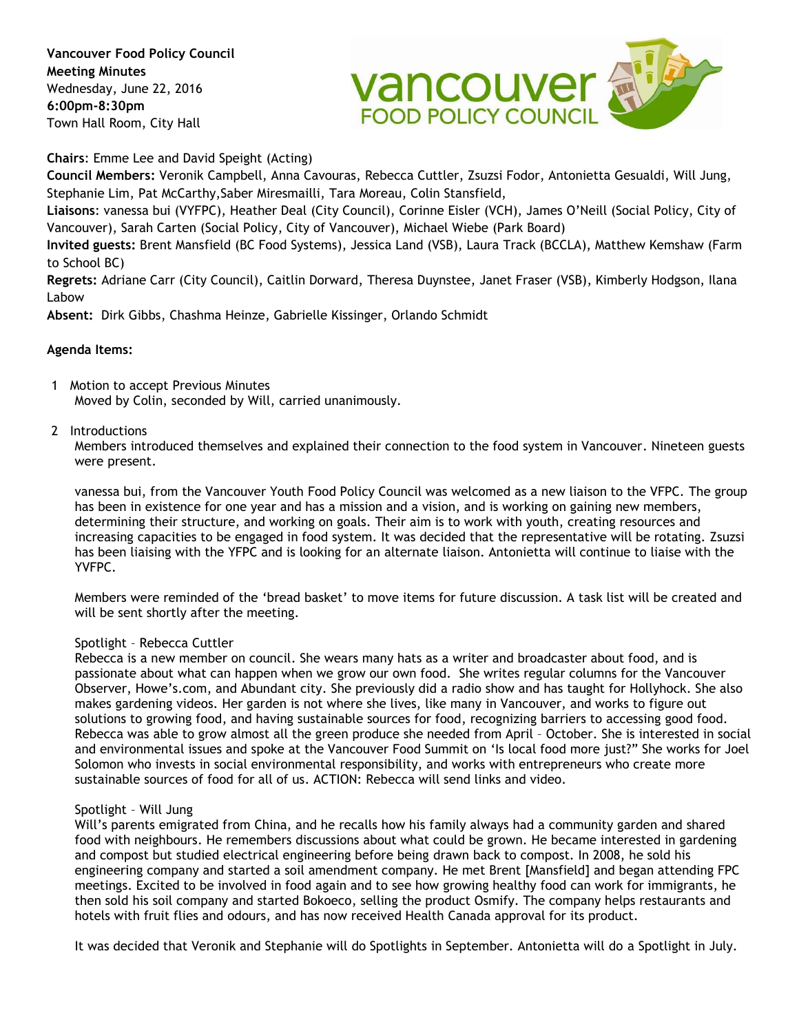**Vancouver Food Policy Council Meeting Minutes**  Wednesday, June 22, 2016 **6:00pm-8:30pm** Town Hall Room, City Hall



**Chairs**: Emme Lee and David Speight (Acting)

**Council Members:** Veronik Campbell, Anna Cavouras, Rebecca Cuttler, Zsuzsi Fodor, Antonietta Gesualdi, Will Jung, Stephanie Lim, Pat McCarthy,Saber Miresmailli, Tara Moreau, Colin Stansfield,

**Liaisons**: vanessa bui (VYFPC), Heather Deal (City Council), Corinne Eisler (VCH), James O'Neill (Social Policy, City of Vancouver), Sarah Carten (Social Policy, City of Vancouver), Michael Wiebe (Park Board)

**Invited guests:** Brent Mansfield (BC Food Systems), Jessica Land (VSB), Laura Track (BCCLA), Matthew Kemshaw (Farm to School BC)

**Regrets:** Adriane Carr (City Council), Caitlin Dorward, Theresa Duynstee, Janet Fraser (VSB), Kimberly Hodgson, Ilana Labow

**Absent:** Dirk Gibbs, Chashma Heinze, Gabrielle Kissinger, Orlando Schmidt

# **Agenda Items:**

1 Motion to accept Previous Minutes Moved by Colin, seconded by Will, carried unanimously.

## 2 Introductions

Members introduced themselves and explained their connection to the food system in Vancouver. Nineteen guests were present.

vanessa bui, from the Vancouver Youth Food Policy Council was welcomed as a new liaison to the VFPC. The group has been in existence for one year and has a mission and a vision, and is working on gaining new members, determining their structure, and working on goals. Their aim is to work with youth, creating resources and increasing capacities to be engaged in food system. It was decided that the representative will be rotating. Zsuzsi has been liaising with the YFPC and is looking for an alternate liaison. Antonietta will continue to liaise with the YVFPC.

Members were reminded of the 'bread basket' to move items for future discussion. A task list will be created and will be sent shortly after the meeting.

### Spotlight – Rebecca Cuttler

Rebecca is a new member on council. She wears many hats as a writer and broadcaster about food, and is passionate about what can happen when we grow our own food. She writes regular columns for the Vancouver Observer, Howe's.com, and Abundant city. She previously did a radio show and has taught for Hollyhock. She also makes gardening videos. Her garden is not where she lives, like many in Vancouver, and works to figure out solutions to growing food, and having sustainable sources for food, recognizing barriers to accessing good food. Rebecca was able to grow almost all the green produce she needed from April – October. She is interested in social and environmental issues and spoke at the Vancouver Food Summit on 'Is local food more just?" She works for Joel Solomon who invests in social environmental responsibility, and works with entrepreneurs who create more sustainable sources of food for all of us. ACTION: Rebecca will send links and video.

### Spotlight – Will Jung

Will's parents emigrated from China, and he recalls how his family always had a community garden and shared food with neighbours. He remembers discussions about what could be grown. He became interested in gardening and compost but studied electrical engineering before being drawn back to compost. In 2008, he sold his engineering company and started a soil amendment company. He met Brent [Mansfield] and began attending FPC meetings. Excited to be involved in food again and to see how growing healthy food can work for immigrants, he then sold his soil company and started Bokoeco, selling the product Osmify. The company helps restaurants and hotels with fruit flies and odours, and has now received Health Canada approval for its product.

It was decided that Veronik and Stephanie will do Spotlights in September. Antonietta will do a Spotlight in July.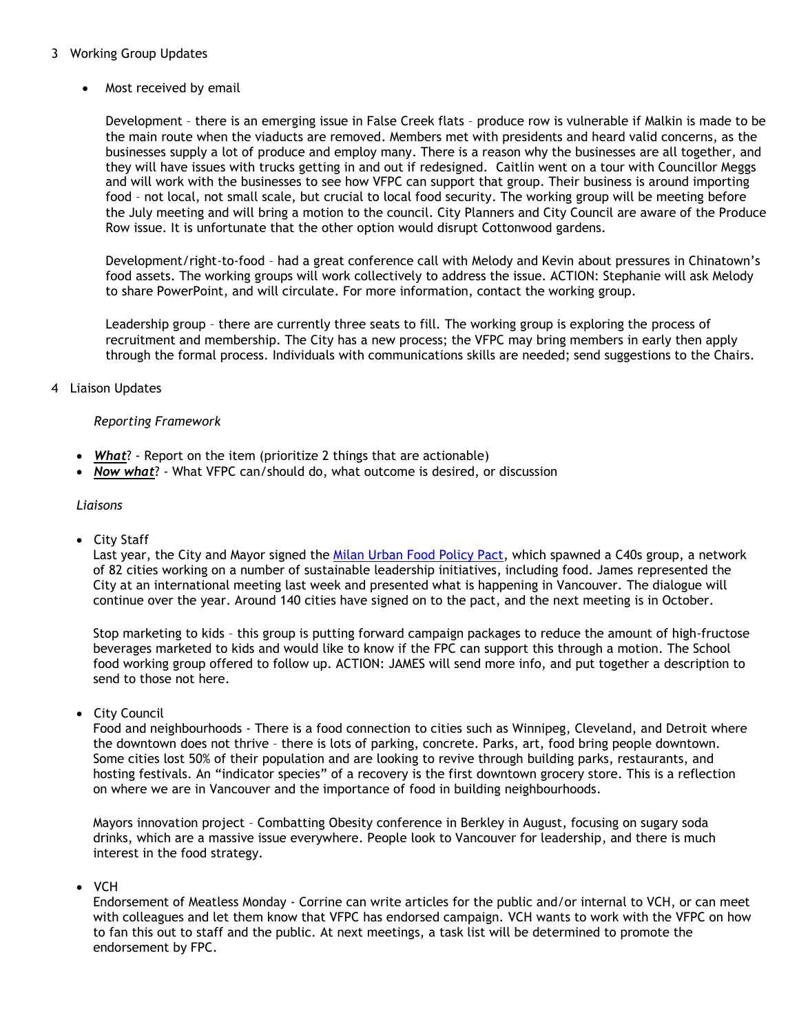# 3 Working Group Updates

Most received by email

Development – there is an emerging issue in False Creek flats – produce row is vulnerable if Malkin is made to be the main route when the viaducts are removed. Members met with presidents and heard valid concerns, as the businesses supply a lot of produce and employ many. There is a reason why the businesses are all together, and they will have issues with trucks getting in and out if redesigned. Caitlin went on a tour with Councillor Meggs and will work with the businesses to see how VFPC can support that group. Their business is around importing food – not local, not small scale, but crucial to local food security. The working group will be meeting before the July meeting and will bring a motion to the council. City Planners and City Council are aware of the Produce Row issue. It is unfortunate that the other option would disrupt Cottonwood gardens.

Development/right-to-food – had a great conference call with Melody and Kevin about pressures in Chinatown's food assets. The working groups will work collectively to address the issue. ACTION: Stephanie will ask Melody to share PowerPoint, and will circulate. For more information, contact the working group.

Leadership group – there are currently three seats to fill. The working group is exploring the process of recruitment and membership. The City has a new process; the VFPC may bring members in early then apply through the formal process. Individuals with communications skills are needed; send suggestions to the Chairs.

# 4 Liaison Updates

# *Reporting Framework*

- **What**? Report on the item (prioritize 2 things that are actionable)
- *Now what*? What VFPC can/should do, what outcome is desired, or discussion

## *Liaisons*

City Staff

Last year, the City and Mayor signed the [Milan Urban Food Policy Pact,](http://www.foodpolicymilano.org/wp-content/uploads/2015/10/Milan-Urban-Food-Policy-Pact-EN.pdf) which spawned a C40s group, a network of 82 cities working on a number of sustainable leadership initiatives, including food. James represented the City at an international meeting last week and presented what is happening in Vancouver. The dialogue will continue over the year. Around 140 cities have signed on to the pact, and the next meeting is in October.

Stop marketing to kids – this group is putting forward campaign packages to reduce the amount of high-fructose beverages marketed to kids and would like to know if the FPC can support this through a motion. The School food working group offered to follow up. ACTION: JAMES will send more info, and put together a description to send to those not here.

• City Council

Food and neighbourhoods - There is a food connection to cities such as Winnipeg, Cleveland, and Detroit where the downtown does not thrive – there is lots of parking, concrete. Parks, art, food bring people downtown. Some cities lost 50% of their population and are looking to revive through building parks, restaurants, and hosting festivals. An "indicator species" of a recovery is the first downtown grocery store. This is a reflection on where we are in Vancouver and the importance of food in building neighbourhoods.

Mayors innovation project – Combatting Obesity conference in Berkley in August, focusing on sugary soda drinks, which are a massive issue everywhere. People look to Vancouver for leadership, and there is much interest in the food strategy.

VCH

Endorsement of Meatless Monday - Corrine can write articles for the public and/or internal to VCH, or can meet with colleagues and let them know that VFPC has endorsed campaign. VCH wants to work with the VFPC on how to fan this out to staff and the public. At next meetings, a task list will be determined to promote the endorsement by FPC.